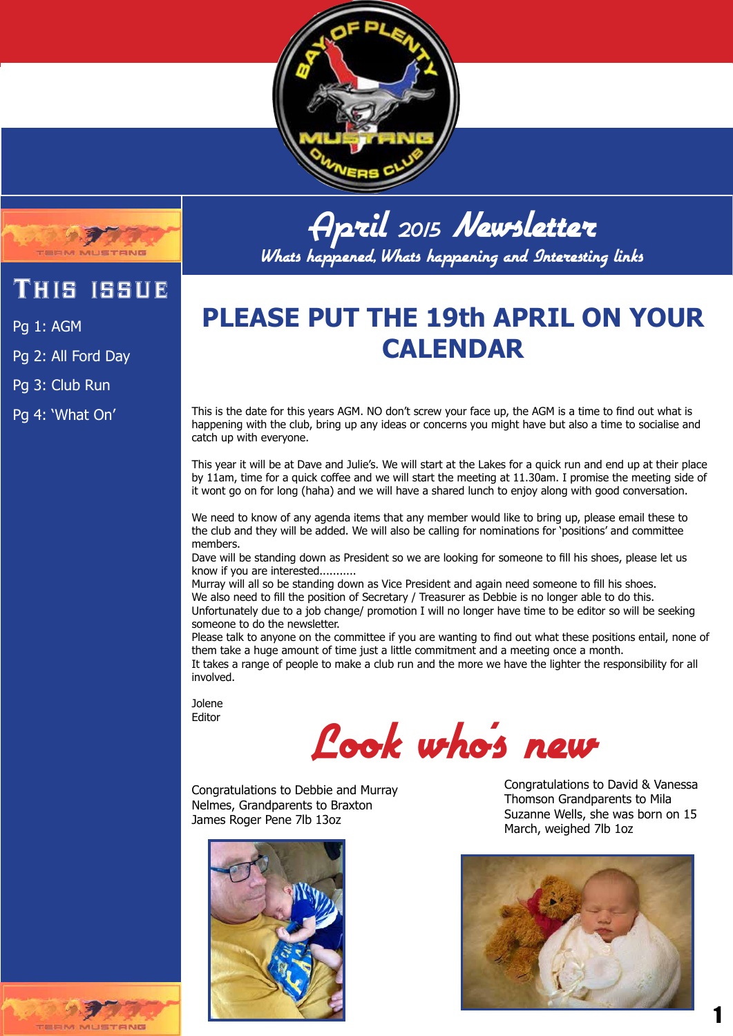



This issue

Pg 1: AGM

Pg 2: All Ford Day

Pg 3: Club Run

Pg 4: 'What On'

April <sup>2015</sup> Newsletter Whats happened, Whats happening and Interesting links

### **PLEASE PUT THE 19th APRIL ON YOUR CALENDAR**

This is the date for this years AGM. NO don't screw your face up, the AGM is a time to find out what is happening with the club, bring up any ideas or concerns you might have but also a time to socialise and catch up with everyone.

This year it will be at Dave and Julie's. We will start at the Lakes for a quick run and end up at their place by 11am, time for a quick coffee and we will start the meeting at 11.30am. I promise the meeting side of it wont go on for long (haha) and we will have a shared lunch to enjoy along with good conversation.

We need to know of any agenda items that any member would like to bring up, please email these to the club and they will be added. We will also be calling for nominations for 'positions' and committee members.

Dave will be standing down as President so we are looking for someone to fill his shoes, please let us know if you are interested...........

Murray will all so be standing down as Vice President and again need someone to fill his shoes. We also need to fill the position of Secretary / Treasurer as Debbie is no longer able to do this. Unfortunately due to a job change/ promotion I will no longer have time to be editor so will be seeking someone to do the newsletter.

Please talk to anyone on the committee if you are wanting to find out what these positions entail, none of them take a huge amount of time just a little commitment and a meeting once a month. It takes a range of people to make a club run and the more we have the lighter the responsibility for all involved.

Jolene Editor

### Look who's new

Congratulations to Debbie and Murray Nelmes, Grandparents to Braxton James Roger Pene 7lb 13oz



Congratulations to David & Vanessa Thomson Grandparents to Mila Suzanne Wells, she was born on 15 March, weighed 7lb 1oz



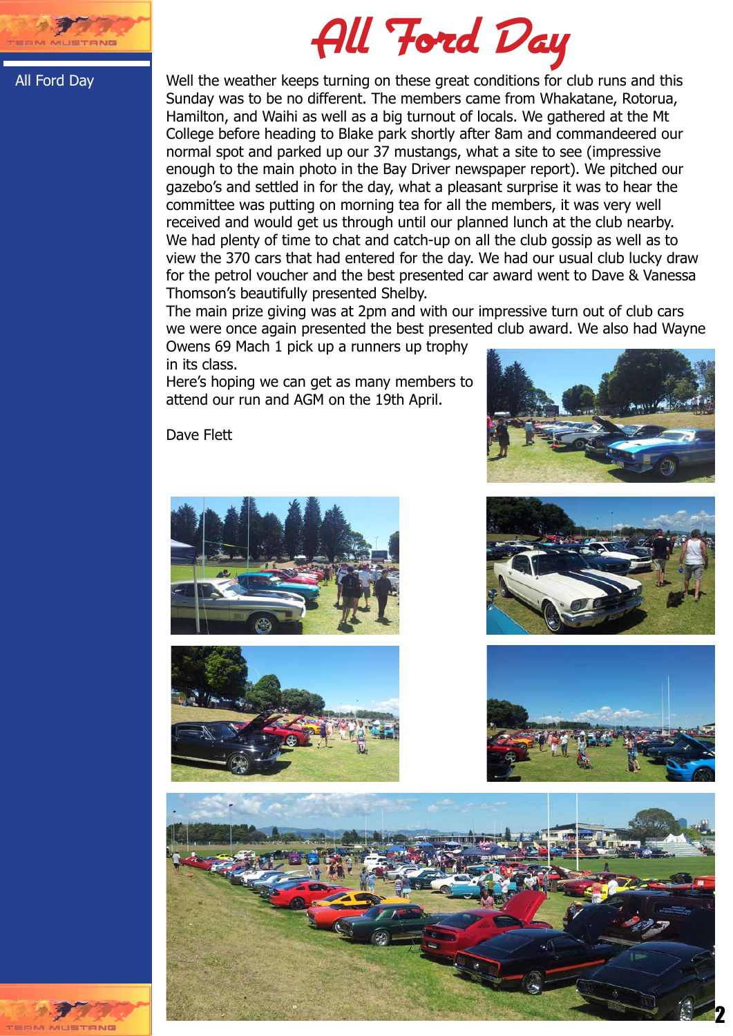

# All Ford Day

#### All Ford Day

Well the weather keeps turning on these great conditions for club runs and this Sunday was to be no different. The members came from Whakatane, Rotorua, Hamilton, and Waihi as well as a big turnout of locals. We gathered at the Mt College before heading to Blake park shortly after 8am and commandeered our normal spot and parked up our 37 mustangs, what a site to see (impressive enough to the main photo in the Bay Driver newspaper report). We pitched our gazebo's and settled in for the day, what a pleasant surprise it was to hear the committee was putting on morning tea for all the members, it was very well received and would get us through until our planned lunch at the club nearby. We had plenty of time to chat and catch-up on all the club gossip as well as to view the 370 cars that had entered for the day. We had our usual club lucky draw for the petrol voucher and the best presented car award went to Dave & Vanessa Thomson's beautifully presented Shelby.

The main prize giving was at 2pm and with our impressive turn out of club cars we were once again presented the best presented club award. We also had Wayne

Owens 69 Mach 1 pick up a runners up trophy in its class.

Here's hoping we can get as many members to attend our run and AGM on the 19th April.



Dave Flett











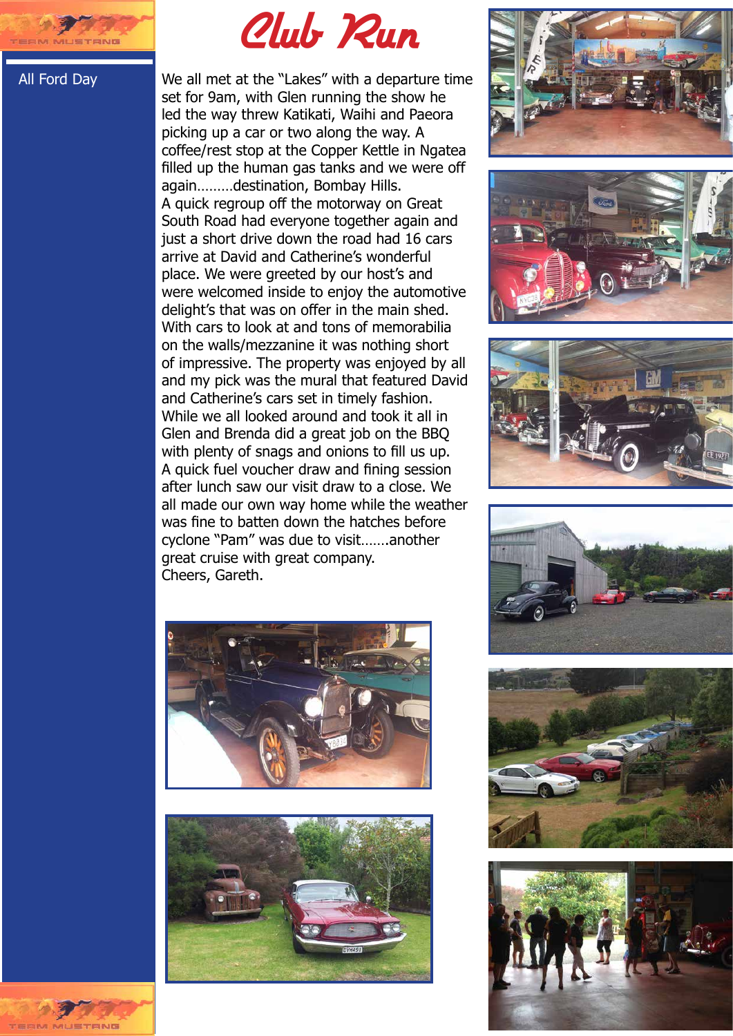

All Ford Day

## Club Run

We all met at the "Lakes" with a departure time set for 9am, with Glen running the show he led the way threw Katikati, Waihi and Paeora picking up a car or two along the way. A coffee/rest stop at the Copper Kettle in Ngatea filled up the human gas tanks and we were off again………destination, Bombay Hills. A quick regroup off the motorway on Great South Road had everyone together again and just a short drive down the road had 16 cars arrive at David and Catherine's wonderful place. We were greeted by our host's and were welcomed inside to enjoy the automotive delight's that was on offer in the main shed. With cars to look at and tons of memorabilia on the walls/mezzanine it was nothing short of impressive. The property was enjoyed by all and my pick was the mural that featured David and Catherine's cars set in timely fashion. While we all looked around and took it all in Glen and Brenda did a great job on the BBQ with plenty of snags and onions to fill us up. A quick fuel voucher draw and fining session after lunch saw our visit draw to a close. We all made our own way home while the weather was fine to batten down the hatches before cyclone "Pam" was due to visit…….another great cruise with great company. Cheers, Gareth.